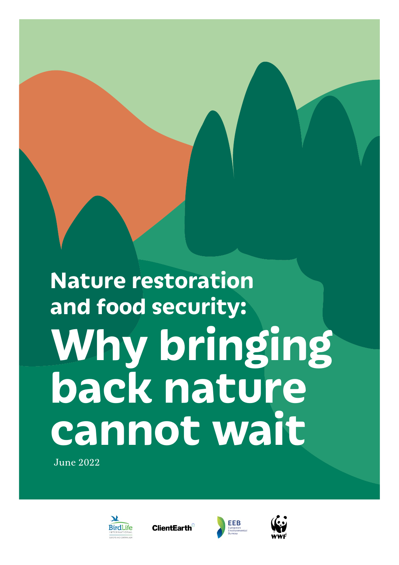# **Why bringing back nature cannot wait Nature restoration and food security:**

June 2022



**ClientEarth** 



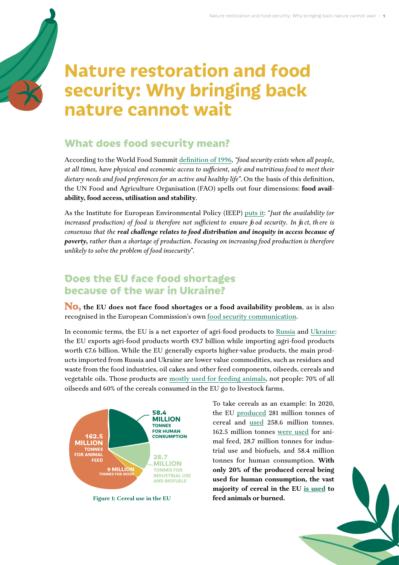# **Nature restoration and food security: Why bringing back nature cannot wait**

### **What does food security mean?**

According to the World Food Summit [definition of 1996,](https://www.fao.org/3/w3613e/w3613e00.htm) *"food security exists when all people, at all times, have physical and economic access to sufficient, safe and nutritious food to meet their dietary needs and food preferences for an active and healthy life"*. On the basis of this definition, the UN Food and Agriculture Organisation (FAO) spells out four dimensions: **food availability, food access, utilisation and stability**.

As the Institute for European Environmental Policy (IEEP) [puts it](https://ieep.eu/uploads/articles/attachments/548d9fc9-3f2e-4fa6-9dbe-a51176b5128c/Policy%20brief_Environmental%20degradation.%20Impacts%20on%20agricultural%20production_IEEP%20(2022).pdf?v=63816541685): "*Just the availability (or increased production) of food is therefore not sufficient to ensure fo od security. In fa ct, th ere is consensus that the real challenge relates to food distribution and inequity in access because of poverty, rather than a shortage of production. Focusing on increasing food production is therefore unlikely to solve the problem of food insecurity*".

#### **Does the EU face food shortages because of the war in Ukraine?**

**No, the EU does not face food shortages or a food availability problem**, as is also recognised in the European Commission's own [food security communication](https://ec.europa.eu/commission/presscorner/detail/en/ip_22_1963).

In economic terms, the EU is a net exporter of agri-food products to [Russia](https://www.europarl.europa.eu/RegData/etudes/ATAG/2022/729294/EPRS_ATA(2022)729294_EN.pdf) and [Ukraine:](https://www.europarl.europa.eu/RegData/etudes/ATAG/2022/729322/EPRS_ATA(2022)729322_EN.pdf) the EU exports agri-food products worth  $\epsilon$ 9.7 billion while importing agri-food products worth €7.6 billion. While the EU generally exports higher-value products, the main products imported from Russia and Ukraine are lower value commodities, such as residues and waste from the food industries, oil cakes and other feed components, oilseeds, cereals and vegetable oils. Those products are [mostly used for feeding animals,](https://www.iddri.org/en/publications-and-events/blog-post/war-ukraine-and-food-security-what-are-implications-europe) not people: 70% of all oilseeds and 60% of the cereals consumed in the EU go to livestock farms.



**Figure 1: Cereal use in the EU**

To take cereals as an example: In 2020, the EU [produced](https://agridata.ec.europa.eu/extensions/DashboardCereals/CerealsProduction.html) 281 million tonnes of cereal and [used](https://ec.europa.eu/info/sites/default/files/food-farming-fisheries/farming/documents/short-term-outlook-statistical-annex_en.pdf) 258.6 million tonnes. 162.5 million tonnes [were used](https://ec.europa.eu/info/sites/default/files/food-farming-fisheries/farming/documents/short-term-outlook-statistical-annex_en.pdf) for animal feed, 28.7 million tonnes for industrial use and biofuels, and 58.4 million tonnes for human consumption. **With only 20% of the produced cereal being used for human consumption, the vast majority of cereal in the EU [is used](https://www.transportenvironment.org/discover/food-not-fuel-why-biofuels-are-a-risk-to-food-security/) to feed animals or burned.**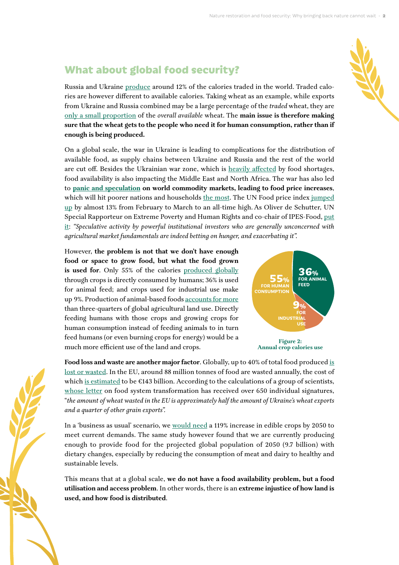# **What about global food security?**

Russia and Ukraine [produce](https://www.ifpri.org/blog/how-will-russias-invasion-ukraine-affect-global-food-security) around 12% of the calories traded in the world. Traded calories are however different to available calories. Taking wheat as an example, while exports from Ukraine and Russia combined may be a large percentage of the *traded* wheat, they are [only a small proportion](https://twitter.com/SarahTaber_bww/status/1507776806090584065) of the *overall available* wheat. The **main issue is therefore making sure that the wheat gets to the people who need it for human consumption, rather than if enough is being produced.** 

On a global scale, the war in Ukraine is leading to complications for the distribution of available food, as supply chains between Ukraine and Russia and the rest of the world are cut off. Besides the Ukrainian war zone, which is [heavily affected](https://ipes-food.org/_img/upload/files/AnotherPerfectStorm.pdf) by food shortages, food availability is also impacting the Middle East and North Africa. The war has also led to **[panic and speculation](https://www.lighthousereports.nl/investigation/the-hunger-profiteers/) on world commodity markets, leading to food price increases**, which will hit poorer nations and households [the most.](https://www.theguardian.com/world/2022/mar/21/egypt-fixes-price-of-unsubsidised-bread-as-ukraine-war-hits-wheat-supply) The UN Food price index jumped [up](https://news.un.org/en/story/2022/04/1115852#:~:text=The%20FAO%20Food%20Price%20Index,of%20commonly%20traded%20food%20commodities.) by almost 13% from February to March to an all-time high. As Oliver de Schutter, UN Special Rapporteur on Extreme Poverty and Human Rights and co-chair of IPES-Food, [put](https://www.lighthousereports.nl/investigation/the-hunger-profiteers/)  [it:](https://www.lighthousereports.nl/investigation/the-hunger-profiteers/) *"Speculative activity by powerful institutional investors who are generally unconcerned with agricultural market fundamentals are indeed betting on hunger, and exacerbating it".*

However, **the problem is not that we don't have enough food or space to grow food, but what the food grown**  is used for. Only 55% of the calories [produced globally](https://iopscience.iop.org/article/10.1088/1748-9326/8/3/034015) through crops is directly consumed by humans; 36% is used for animal feed; and crops used for industrial use make up 9%. Production of animal-based foods [accounts for more](https://zenodo.org/record/6378854#.YkRVqHpBw2z) than three-quarters of global agricultural land use. Directly feeding humans with those crops and growing crops for human consumption instead of feeding animals to in turn feed humans (or even burning crops for energy) would be a much more efficient use of the land and crops.



**Food loss and waste are another major factor**. Globally, up to 40% of total food produced [is](https://wwfeu.awsassets.panda.org/downloads/europe_eats_the_world_report_ws.pdf#page=9)  [lost or wasted](https://wwfeu.awsassets.panda.org/downloads/europe_eats_the_world_report_ws.pdf#page=9). In the EU, around 88 million tonnes of food are wasted annually, the cost of which [is estimated](https://ec.europa.eu/food/safety/food-waste_en) to be  $\epsilon$ 143 billion. According to the calculations of a group of scientists, [whose letter](https://zenodo.org/record/6389348#.YkRV_HpBw2w) on food system transformation has received over 650 individual signatures, "*the amount of wheat wasted in the EU is approximately half the amount of Ukraine's wheat exports and a quarter of other grain exports".*

In a 'business as usual' scenario, we [would need](https://online.ucpress.edu/elementa/article/doi/10.1525/elementa.310/112838/Current-global-food-production-is-sufficient-to) a 119% increase in edible crops by 2050 to meet current demands. The same study however found that we are currently producing enough to provide food for the projected global population of 2050 (9.7 billion) with dietary changes, especially by reducing the consumption of meat and dairy to healthy and sustainable levels.

This means that at a global scale, **we do not have a food availability problem, but a food utilisation and access problem**. In other words, there is an **extreme injustice of how land is used, and how food is distributed**.

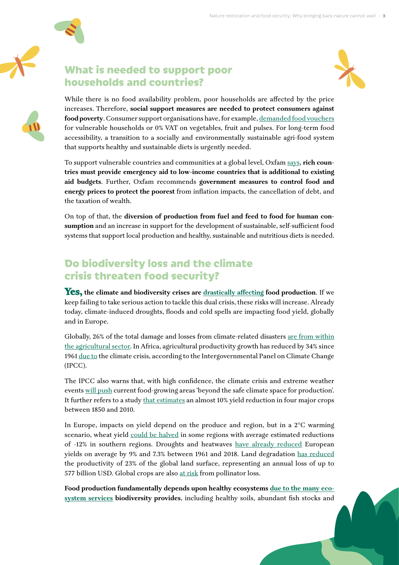



#### **What is needed to support poor households and countries?**

While there is no food availability problem, poor households are affected by the price increases. Therefore, **social support measures are needed to protect consumers against food poverty**. Consumer support organisations have, for example, [demanded food vouchers](https://www.beuc.eu/publications/beuc-x-2022-030_plenary_vote_on_a_motion_for_a_resolution_on_food_security_in_light_of_the_russian_invasion_of_ukraine.pdf) for vulnerable households or 0% VAT on vegetables, fruit and pulses. For long-term food accessibility, a transition to a socially and environmentally sustainable agri-food system that supports healthy and sustainable diets is urgently needed.

To support vulnerable countries and communities at a global level, Oxfam [says](https://www.oxfam.org/en/research/first-crisis-then-catastrophe), **rich countries must provide emergency aid to low-income countries that is additional to existing aid budgets**. Further, Oxfam recommends **government measures to control food and energy prices to protect the poorest** from inflation impacts, the cancellation of debt, and the taxation of wealth.

On top of that, the **diversion of production from fuel and feed to food for human consumption** and an increase in support for the development of sustainable, self-sufficient food systems that support local production and healthy, sustainable and nutritious diets is needed.

# **Do biodiversity loss and the climate crisis threaten food security?**

**Yes, the climate and biodiversity crises are [drastically affecting](https://ieep.eu/uploads/articles/attachments/548d9fc9-3f2e-4fa6-9dbe-a51176b5128c/Policy%20brief_Environmental%20degradation.%20Impacts%20on%20agricultural%20production_IEEP%20(2022).pdf?v=63816541685) food production**. If we keep failing to take serious action to tackle this dual crisis, these risks will increase. Already today, climate-induced droughts, floods and cold spells are impacting food yield, globally and in Europe.

Globally, 26% of the total damage and losses from climate-related disasters [are from within](https://files.wri.org/d8/s3fs-public/2021-06/food-systems-at-risk-transformative-adaptation-for-long-term-food-security.pdf?VersionId=3In9B9i2YJaG3R3OIQLQZBX7zYqENCxq)  [the agricultural sector](https://files.wri.org/d8/s3fs-public/2021-06/food-systems-at-risk-transformative-adaptation-for-long-term-food-security.pdf?VersionId=3In9B9i2YJaG3R3OIQLQZBX7zYqENCxq). In Africa, agricultural productivity growth has reduced by 34% since 1961 [due to](https://report.ipcc.ch/ar6wg2/pdf/IPCC_AR6_WGII_FactSheet_Africa.pdf) the climate crisis, according to the Intergovernmental Panel on Climate Change (IPCC).

The IPCC also warns that, with high confidence, the climate crisis and extreme weather events [will push](https://www.carbonbrief.org/in-depth-qa-the-ipccs-sixth-assessment-on-how-climate-change-impacts-the-world) current food-growing areas 'beyond the safe climate space for production'. It further refers to a study [that estimates](https://agupubs.onlinelibrary.wiley.com/doi/10.1002/2016EF000377) an almost 10% yield reduction in four major crops between 1850 and 2010.

In Europe, impacts on yield depend on the produce and region, but in a 2°C warming scenario, wheat yield [could be halved](https://ieep.eu/uploads/articles/attachments/548d9fc9-3f2e-4fa6-9dbe-a51176b5128c/Policy%20brief_Environmental%20degradation.%20Impacts%20on%20agricultural%20production_IEEP%20(2022).pdf?v=63816541685) in some regions with average estimated reductions of -12% in southern regions. Droughts and heatwaves [have already reduced](https://iopscience.iop.org/article/10.1088/1748-9326/abf004#artAbst) European yields on average by 9% and 7.3% between 1961 and 2018. Land degradation [has reduced](https://ipbes.net/sites/default/files/inline/files/ipbes_global_assessment_report_summary_for_policymakers.pdf) the productivity of 23% of the global land surface, representing an annual loss of up to 577 billion USD. Global crops are also [at risk](https://iopscience.iop.org/article/10.1088/1748-9326/abf004#artAbst) from pollinator loss.

**Food production fundamentally depends upon healthy ecosystems [due to the many eco](https://ipbes.net/sites/default/files/inline/files/ipbes_global_assessment_report_summary_for_policymakers.pdf)[system services](https://ipbes.net/sites/default/files/inline/files/ipbes_global_assessment_report_summary_for_policymakers.pdf) biodiversity provides**, including healthy soils, abundant fish stocks and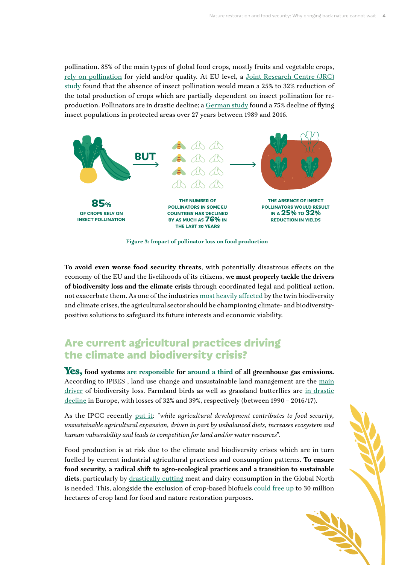pollination. 85% of the main types of global food crops, mostly fruits and vegetable crops, [rely on pollination](https://royalsocietypublishing.org/doi/10.1098/rspb.2006.3721#d1573072e1) for yield and/or quality. At EU level, a Joint Research Centre (JRC) [study](https://www.mdpi.com/2073-445X/2/3/472) found that the absence of insect pollination would mean a 25% to 32% reduction of the total production of crops which are partially dependent on insect pollination for reproduction. Pollinators are in drastic decline; a [German study](https://journals.plos.org/plosone/article?id=10.1371/journal.pone.0185809) found a 75% decline of flying insect populations in protected areas over 27 years between 1989 and 2016.



**Figure 3: Impact of pollinator loss on food production**

**To avoid even worse food security threats**, with potentially disastrous effects on the economy of the EU and the livelihoods of its citizens, **we must properly tackle the drivers of biodiversity loss and the climate crisis** through coordinated legal and political action, not exacerbate them. As one of the industries [most heavily affected](https://ipbes.net/sites/default/files/inline/files/ipbes_global_assessment_report_summary_for_policymakers.pdf#page=15) by the twin biodiversity and climate crises, the agricultural sector should be championing climate- and biodiversitypositive solutions to safeguard its future interests and economic viability.

#### **Are current agricultural practices driving the climate and biodiversity crisis?**

**Yes, food systems [are responsible](https://ecbpi.eu/wp-content/uploads/2021/03/Nature-food-systems-GHG-emissions-march-2021.pdf) for [around a third](https://www.ipcc.ch/site/assets/uploads/2019/08/4.-SPM_Approved_Microsite_FINAL.pdf) of all greenhouse gas emissions.**  According to IPBES , land use change and unsustainable land management are the [main](https://ipbes.net/global-assessment)  [driver](https://ipbes.net/global-assessment) of biodiversity loss. Farmland birds as well as grassland butterflies are [in drastic](https://www.eea.europa.eu/publications/soer-2020/chapter-03_soer2020-introduction-part-2/view)  [decline](https://www.eea.europa.eu/publications/soer-2020/chapter-03_soer2020-introduction-part-2/view) in Europe, with losses of 32% and 39%, respectively (between 1990 – 2016/17).

As the IPCC recently [put it:](https://www.ipcc.ch/report/ar6/wg2/downloads/report/IPCC_AR6_WGII_SummaryForPolicymakers.pdf#page=16) *"while agricultural development contributes to food security, unsustainable agricultural expansion, driven in part by unbalanced diets, increases ecosystem and human vulnerability and leads to competition for land and/or water resources"*.

Food production is at risk due to the climate and biodiversity crises which are in turn fuelled by current industrial agricultural practices and consumption patterns. **To ensure food security, a radical shift to agro-ecological practices and a transition to sustainable diets**, particularly by [drastically cutting](https://www.iddri.org/sites/default/files/PDF/Publications/Catalogue%20Iddri/Etude/201809-ST0918EN-tyfa.pdf#page=45) meat and dairy consumption in the Global North is needed. This, alongside the exclusion of crop-based biofuels [could free up](https://scholar.princeton.edu/sites/default/files/searchinger-james-dumas_europes-land-future_full_report-2022.pdf#page=5) to 30 million hectares of crop land for food and nature restoration purposes.

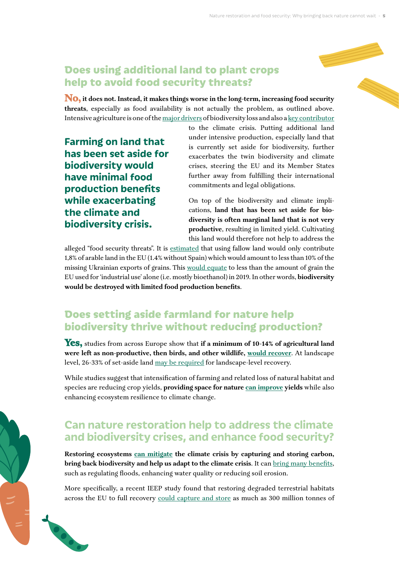#### **Does using additional land to plant crops help to avoid food security threats?**

**No, it does not. Instead, it makes things worse in the long-term, increasing food security threats**, especially as food availability is not actually the problem, as outlined above. Intensive agriculture is one of the [major drivers](https://zenodo.org/record/5517423#.YozPw-hBxD8) of biodiversity loss and also a [key contributor](https://www.ipcc.ch/srccl/chapter/summary-for-policymakers/)

**Farming on land that has been set aside for biodiversity would have minimal food production benefits while exacerbating the climate and biodiversity crisis.**

 $\frac{1}{2}$ 

**CONTROL** 

to the climate crisis. Putting additional land under intensive production, especially land that is currently set aside for biodiversity, further exacerbates the twin biodiversity and climate crises, steering the EU and its Member States further away from fulfilling their international commitments and legal obligations.

On top of the biodiversity and climate implications, **land that has been set aside for biodiversity is often marginal land that is not very productive**, resulting in limited yield. Cultivating this land would therefore not help to address the

alleged "food security threats". It is [estimated](https://slakner.wordpress.com/2022/03/09/ukraine-krieg-und-welternahrung-welche-option-hat-die-internationale-gemeinschaft/) that using fallow land would only contribute 1,8% of arable land in the EU (1.4% without Spain) which would amount to less than 10% of the missing Ukrainian exports of grains. This [would equate](https://slakner.wordpress.com/2022/03/09/ukraine-krieg-und-welternahrung-welche-option-hat-die-internationale-gemeinschaft/) to less than the amount of grain the EU used for 'industrial use' alone (i.e. mostly bioethanol) in 2019. In other words, **biodiversity would be destroyed with limited food production benefits**.

#### **Does setting aside farmland for nature help biodiversity thrive without reducing production?**

**Yes,** studies from across Europe show that **if a minimum of 10-14% of agricultural land were left as non-productive, then birds, and other wildlife, [would recover](https://www.birdlife.org/wp-content/uploads/2021/11/Space4Nature_Reform-the-CAP_brief_2020.pdf#page=4)**. At landscape level, 26-33% of set-aside land [may be required](https://www.birdlife.org/wp-content/uploads/2021/11/Space4Nature_Reform-the-CAP_brief_2020.pdf#page=4) for landscape-level recovery.

While studies suggest that intensification of farming and related loss of natural habitat and species are reducing crop yields, **providing space for nature [can improve](https://www.birdlife.org/wp-content/uploads/2021/11/Space4Nature_Reform-the-CAP_brief_2020.pdf#page=4) yields** while also enhancing ecosystem resilience to climate change.

# **Can nature restoration help to address the climate and biodiversity crises, and enhance food security?**

**Restoring ecosystems [can mitigate](https://ipbes.net/sites/default/files/2021-06/20210609_workshop_report_embargo_3pm_CEST_10_june_0.pdf#page=19) the climate crisis by capturing and storing carbon, bring back biodiversity and help us adapt to the climate crisis**. It can [bring many benefits](https://ipbes.net/sites/default/files/2021-06/20210609_workshop_report_embargo_3pm_CEST_10_june_0.pdf#page=19), such as regulating floods, enhancing water quality or reducing soil erosion.

More specifically, a recent IEEP study found that restoring degraded terrestrial habitats across the EU to full recovery [could capture and store](https://www.wwf.eu/what_we_do/biodiversity/?uNewsID=5880966) as much as 300 million tonnes of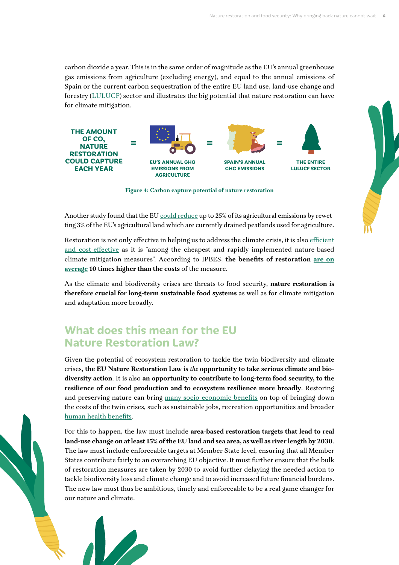carbon dioxide a year. This is in the same order of magnitude as the EU's annual greenhouse gas emissions from agriculture (excluding energy), and equal to the annual emissions of Spain or the current carbon sequestration of the entire EU land use, land-use change and forestry [\(LULUCF](https://ec.europa.eu/clima/eu-action/european-green-deal/delivering-european-green-deal/land-use-forestry-and-agriculture_en)) sector and illustrates the big potential that nature restoration can have for climate mitigation.



**Figure 4: Carbon capture potential of nature restoration**

Another study found that the EU [could reduce](https://greifswaldmoor.de/files/dokumente/Infopapiere_Briefings/202111_Opportunities-for-paludiculture-in-CAP-1.pdf) up to 25% of its agricultural emissions by rewetting 3% of the EU's agricultural land which are currently drained peatlands used for agriculture.

Restoration is not only effective in helping us to address the climate crisis, it is also [efficient](https://ipbes.net/sites/default/files/2021-06/20210609_workshop_report_embargo_3pm_CEST_10_june_0.pdf#page=19)  [and cost-effective](https://ipbes.net/sites/default/files/2021-06/20210609_workshop_report_embargo_3pm_CEST_10_june_0.pdf#page=19) as it is "among the cheapest and rapidly implemented nature-based climate mitigation measures". According to IPBES, **the benefits of restoration [are on](https://zenodo.org/record/3237393#.YozSWOhBxD8)  [average](https://zenodo.org/record/3237393#.YozSWOhBxD8) 10 times higher than the costs** of the measure.

As the climate and biodiversity crises are threats to food security, **nature restoration is therefore crucial for long-term sustainable food systems** as well as for climate mitigation and adaptation more broadly.

#### **What does this mean for the EU Nature Restoration Law?**

Given the potential of ecosystem restoration to tackle the twin biodiversity and climate crises, **the EU Nature Restoration Law is** *the* **opportunity to take serious climate and biodiversity action**. It is also **an opportunity to contribute to long-term food security, to the resilience of our food production and to ecosystem resilience more broadly**. Restoring and preserving nature can bring [many socio-economic benefits](https://wwfeu.awsassets.panda.org/downloads/wwf_factsheet_nature_restoration_soc_economic_web.pdf) on top of bringing down the costs of the twin crises, such as sustainable jobs, recreation opportunities and broader [human health benefits](https://wwfeu.awsassets.panda.org/downloads/wwf_factsheet_nature_restoration_health_web.pdf).

For this to happen, the law must include **area-based restoration targets that lead to real land-use change on at least 15% of the EU land and sea area, as well as river length by 2030**. The law must include enforceable targets at Member State level, ensuring that all Member States contribute fairly to an overarching EU objective. It must further ensure that the bulk of restoration measures are taken by 2030 to avoid further delaying the needed action to tackle biodiversity loss and climate change and to avoid increased future financial burdens. The new law must thus be ambitious, timely and enforceable to be a real game changer for our nature and climate.